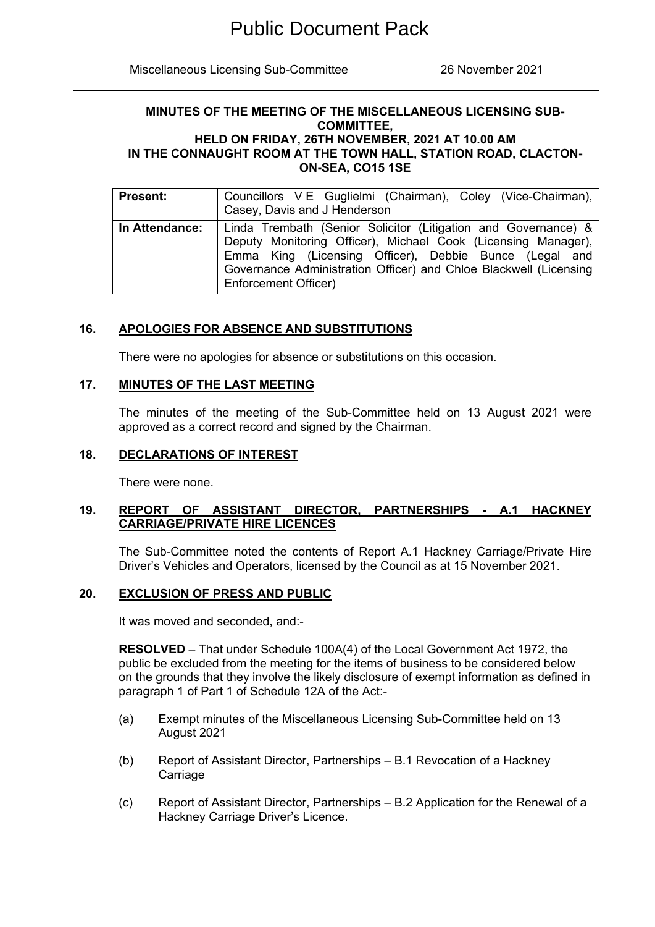Miscellaneous Licensing Sub-Committee 26 November 2021

#### **MINUTES OF THE MEETING OF THE MISCELLANEOUS LICENSING SUB-COMMITTEE, HELD ON FRIDAY, 26TH NOVEMBER, 2021 AT 10.00 AM IN THE CONNAUGHT ROOM AT THE TOWN HALL, STATION ROAD, CLACTON-ON-SEA, CO15 1SE**

| <b>Present:</b> | Councillors V E Guglielmi (Chairman), Coley (Vice-Chairman),<br>Casey, Davis and J Henderson                                                                                                                                                                                           |
|-----------------|----------------------------------------------------------------------------------------------------------------------------------------------------------------------------------------------------------------------------------------------------------------------------------------|
| In Attendance:  | Linda Trembath (Senior Solicitor (Litigation and Governance) &<br>Deputy Monitoring Officer), Michael Cook (Licensing Manager),<br>Emma King (Licensing Officer), Debbie Bunce (Legal and<br>Governance Administration Officer) and Chloe Blackwell (Licensing<br>Enforcement Officer) |

# **16. APOLOGIES FOR ABSENCE AND SUBSTITUTIONS**

There were no apologies for absence or substitutions on this occasion.

### **17. MINUTES OF THE LAST MEETING**

The minutes of the meeting of the Sub-Committee held on 13 August 2021 were approved as a correct record and signed by the Chairman.

### **18. DECLARATIONS OF INTEREST**

There were none.

# **19. REPORT OF ASSISTANT DIRECTOR, PARTNERSHIPS - A.1 HACKNEY CARRIAGE/PRIVATE HIRE LICENCES**

The Sub-Committee noted the contents of Report A.1 Hackney Carriage/Private Hire Driver's Vehicles and Operators, licensed by the Council as at 15 November 2021.

## **20. EXCLUSION OF PRESS AND PUBLIC**

It was moved and seconded, and:-

**RESOLVED** – That under Schedule 100A(4) of the Local Government Act 1972, the public be excluded from the meeting for the items of business to be considered below on the grounds that they involve the likely disclosure of exempt information as defined in paragraph 1 of Part 1 of Schedule 12A of the Act:-

- (a) Exempt minutes of the Miscellaneous Licensing Sub-Committee held on 13 August 2021
- (b) Report of Assistant Director, Partnerships B.1 Revocation of a Hackney Carriage
- (c) Report of Assistant Director, Partnerships B.2 Application for the Renewal of a Hackney Carriage Driver's Licence.